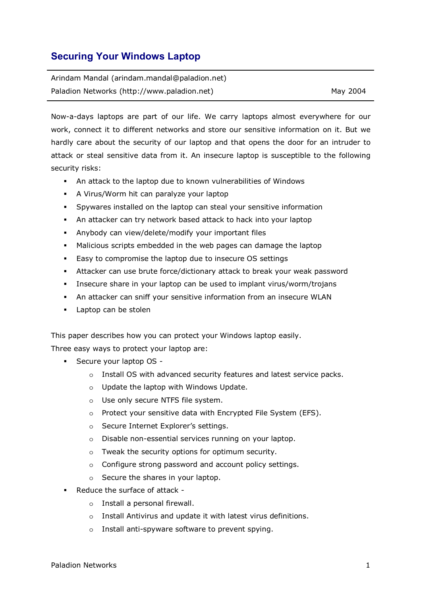# **Securing Your Windows Laptop**

| Arindam Mandal (arindam.mandal@paladion.net) |          |
|----------------------------------------------|----------|
| Paladion Networks (http://www.paladion.net)  | May 2004 |

Now-a-days laptops are part of our life. We carry laptops almost everywhere for our work, connect it to different networks and store our sensitive information on it. But we hardly care about the security of our laptop and that opens the door for an intruder to attack or steal sensitive data from it. An insecure laptop is susceptible to the following security risks:

- An attack to the laptop due to known vulnerabilities of Windows
- A Virus/Worm hit can paralyze your laptop
- Spywares installed on the laptop can steal your sensitive information
- An attacker can try network based attack to hack into your laptop
- Anybody can view/delete/modify your important files
- Malicious scripts embedded in the web pages can damage the laptop
- Easy to compromise the laptop due to insecure OS settings
- Attacker can use brute force/dictionary attack to break your weak password
- Insecure share in your laptop can be used to implant virus/worm/trojans
- An attacker can sniff your sensitive information from an insecure WLAN
- **Laptop can be stolen**

This paper describes how you can protect your Windows laptop easily.

Three easy ways to protect your laptop are:

- Secure your laptop OS
	- o Install OS with advanced security features and latest service packs.
	- o Update the laptop with Windows Update.
	- o Use only secure NTFS file system.
	- o Protect your sensitive data with Encrypted File System (EFS).
	- o Secure Internet Explorer's settings.
	- o Disable non-essential services running on your laptop.
	- o Tweak the security options for optimum security.
	- o Configure strong password and account policy settings.
	- o Secure the shares in your laptop.
- Reduce the surface of attack
	- o Install a personal firewall.
	- o Install Antivirus and update it with latest virus definitions.
	- o Install anti-spyware software to prevent spying.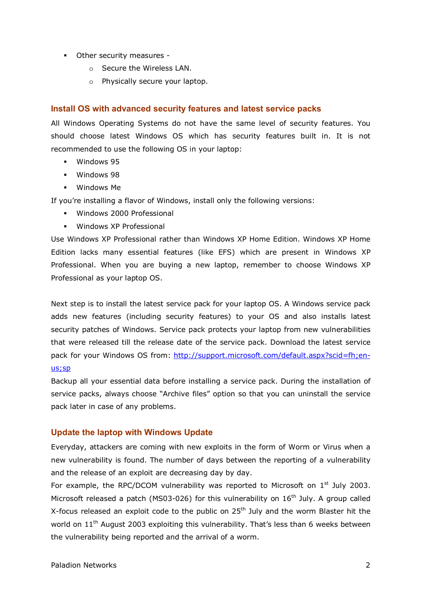- Other security measures
	- o Secure the Wireless LAN.
	- o Physically secure your laptop.

### **Install OS with advanced security features and latest service packs**

All Windows Operating Systems do not have the same level of security features. You should choose latest Windows OS which has security features built in. It is not recommended to use the following OS in your laptop:

- **Windows 95**
- **Windows 98**
- Windows Me

If you're installing a flavor of Windows, install only the following versions:

- Windows 2000 Professional
- **Windows XP Professional**

Use Windows XP Professional rather than Windows XP Home Edition. Windows XP Home Edition lacks many essential features (like EFS) which are present in Windows XP Professional. When you are buying a new laptop, remember to choose Windows XP Professional as your laptop OS.

Next step is to install the latest service pack for your laptop OS. A Windows service pack adds new features (including security features) to your OS and also installs latest security patches of Windows. Service pack protects your laptop from new vulnerabilities that were released till the release date of the service pack. Download the latest service pack for your Windows OS from: http://support.microsoft.com/default.aspx?scid=fh;enus;sp

Backup all your essential data before installing a service pack. During the installation of service packs, always choose "Archive files" option so that you can uninstall the service pack later in case of any problems.

### **Update the laptop with Windows Update**

Everyday, attackers are coming with new exploits in the form of Worm or Virus when a new vulnerability is found. The number of days between the reporting of a vulnerability and the release of an exploit are decreasing day by day.

For example, the RPC/DCOM vulnerability was reported to Microsoft on  $1<sup>st</sup>$  July 2003. Microsoft released a patch (MS03-026) for this vulnerability on  $16<sup>th</sup>$  July. A group called X-focus released an exploit code to the public on 25<sup>th</sup> July and the worm Blaster hit the world on 11<sup>th</sup> August 2003 exploiting this vulnerability. That's less than 6 weeks between the vulnerability being reported and the arrival of a worm.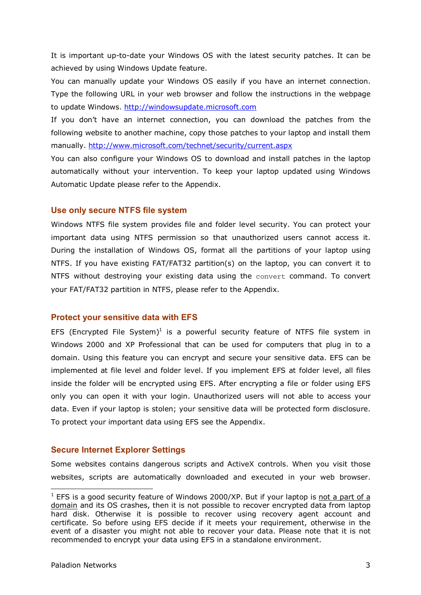It is important up-to-date your Windows OS with the latest security patches. It can be achieved by using Windows Update feature.

You can manually update your Windows OS easily if you have an internet connection. Type the following URL in your web browser and follow the instructions in the webpage to update Windows. http://windowsupdate.microsoft.com

If you don't have an internet connection, you can download the patches from the following website to another machine, copy those patches to your laptop and install them manually. http://www.microsoft.com/technet/security/current.aspx

You can also configure your Windows OS to download and install patches in the laptop automatically without your intervention. To keep your laptop updated using Windows Automatic Update please refer to the Appendix.

### **Use only secure NTFS file system**

Windows NTFS file system provides file and folder level security. You can protect your important data using NTFS permission so that unauthorized users cannot access it. During the installation of Windows OS, format all the partitions of your laptop using NTFS. If you have existing FAT/FAT32 partition(s) on the laptop, you can convert it to NTFS without destroying your existing data using the convert command. To convert your FAT/FAT32 partition in NTFS, please refer to the Appendix.

### **Protect your sensitive data with EFS**

EFS (Encrypted File System)<sup>1</sup> is a powerful security feature of NTFS file system in Windows 2000 and XP Professional that can be used for computers that plug in to a domain. Using this feature you can encrypt and secure your sensitive data. EFS can be implemented at file level and folder level. If you implement EFS at folder level, all files inside the folder will be encrypted using EFS. After encrypting a file or folder using EFS only you can open it with your login. Unauthorized users will not able to access your data. Even if your laptop is stolen; your sensitive data will be protected form disclosure. To protect your important data using EFS see the Appendix.

### **Secure Internet Explorer Settings**

Some websites contains dangerous scripts and ActiveX controls. When you visit those websites, scripts are automatically downloaded and executed in your web browser.

<sup>&</sup>lt;u>the securn constant</u><br>The same of the security feature of Windows 2000/XP. But if your laptop is not a part of a domain and its OS crashes, then it is not possible to recover encrypted data from laptop hard disk. Otherwise it is possible to recover using recovery agent account and certificate. So before using EFS decide if it meets your requirement, otherwise in the event of a disaster you might not able to recover your data. Please note that it is not recommended to encrypt your data using EFS in a standalone environment.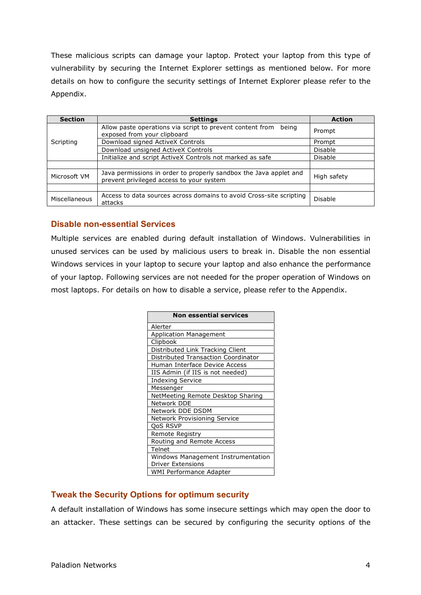These malicious scripts can damage your laptop. Protect your laptop from this type of vulnerability by securing the Internet Explorer settings as mentioned below. For more details on how to configure the security settings of Internet Explorer please refer to the Appendix.

| <b>Section</b> | <b>Settings</b>                                                                                               | <b>Action</b>  |
|----------------|---------------------------------------------------------------------------------------------------------------|----------------|
| Scripting      | Allow paste operations via script to prevent content from<br>being<br>exposed from your clipboard             | Prompt         |
|                | Download signed ActiveX Controls                                                                              | Prompt         |
|                | Download unsigned ActiveX Controls                                                                            | Disable        |
|                | Initialize and script ActiveX Controls not marked as safe                                                     | <b>Disable</b> |
|                |                                                                                                               |                |
| Microsoft VM   | Java permissions in order to properly sandbox the Java applet and<br>prevent privileged access to your system | High safety    |
|                |                                                                                                               |                |
| Miscellaneous  | Access to data sources across domains to avoid Cross-site scripting<br>attacks                                | Disable        |

## **Disable non-essential Services**

Multiple services are enabled during default installation of Windows. Vulnerabilities in unused services can be used by malicious users to break in. Disable the non essential Windows services in your laptop to secure your laptop and also enhance the performance of your laptop. Following services are not needed for the proper operation of Windows on most laptops. For details on how to disable a service, please refer to the Appendix.

| <b>Non essential services</b>       |
|-------------------------------------|
| Alerter                             |
| <b>Application Management</b>       |
| Clipbook                            |
| Distributed Link Tracking Client    |
| Distributed Transaction Coordinator |
| Human Interface Device Access       |
| IIS Admin (if IIS is not needed)    |
| <b>Indexing Service</b>             |
| Messenger                           |
| NetMeeting Remote Desktop Sharing   |
| Network DDE                         |
| Network DDE DSDM                    |
| Network Provisioning Service        |
| <b>QoS RSVP</b>                     |
| Remote Registry                     |
| Routing and Remote Access           |
| Telnet                              |
| Windows Management Instrumentation  |
| <b>Driver Extensions</b>            |
| WMI Performance Adapter             |

## **Tweak the Security Options for optimum security**

A default installation of Windows has some insecure settings which may open the door to an attacker. These settings can be secured by configuring the security options of the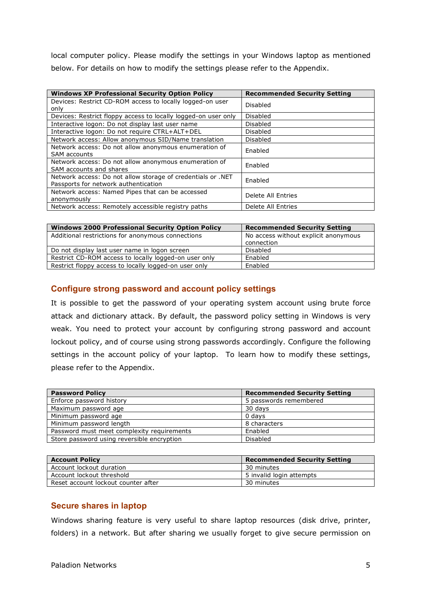local computer policy. Please modify the settings in your Windows laptop as mentioned below. For details on how to modify the settings please refer to the Appendix.

| <b>Windows XP Professional Security Option Policy</b>          | <b>Recommended Security Setting</b> |  |
|----------------------------------------------------------------|-------------------------------------|--|
| Devices: Restrict CD-ROM access to locally logged-on user      | Disabled                            |  |
| only                                                           |                                     |  |
| Devices: Restrict floppy access to locally logged-on user only | Disabled                            |  |
| Interactive logon: Do not display last user name               | <b>Disabled</b>                     |  |
| Interactive logon: Do not require CTRL+ALT+DEL                 | Disabled                            |  |
| Network access: Allow anonymous SID/Name translation           | Disabled                            |  |
| Network access: Do not allow anonymous enumeration of          | Enabled                             |  |
| <b>SAM accounts</b>                                            |                                     |  |
| Network access: Do not allow anonymous enumeration of          | Enabled                             |  |
| SAM accounts and shares                                        |                                     |  |
| Network access: Do not allow storage of credentials or .NET    | Enabled                             |  |
| Passports for network authentication                           |                                     |  |
| Network access: Named Pipes that can be accessed               | Delete All Entries                  |  |
| anonymously                                                    |                                     |  |
| Network access: Remotely accessible registry paths             | Delete All Entries                  |  |

| <b>Windows 2000 Professional Security Option Policy</b> | <b>Recommended Security Setting</b>  |
|---------------------------------------------------------|--------------------------------------|
| Additional restrictions for anonymous connections       | No access without explicit anonymous |
|                                                         | connection                           |
| Do not display last user name in logon screen           | Disabled                             |
| Restrict CD-ROM access to locally logged-on user only   | Enabled                              |
| Restrict floppy access to locally logged-on user only   | Enabled                              |

## **Configure strong password and account policy settings**

It is possible to get the password of your operating system account using brute force attack and dictionary attack. By default, the password policy setting in Windows is very weak. You need to protect your account by configuring strong password and account lockout policy, and of course using strong passwords accordingly. Configure the following settings in the account policy of your laptop. To learn how to modify these settings, please refer to the Appendix.

| <b>Password Policy</b>                     | <b>Recommended Security Setting</b> |
|--------------------------------------------|-------------------------------------|
| Enforce password history                   | 5 passwords remembered              |
| Maximum password age                       | 30 days                             |
| Minimum password age                       | 0 days                              |
| Minimum password length                    | 8 characters                        |
| Password must meet complexity requirements | Enabled                             |
| Store password using reversible encryption | <b>Disabled</b>                     |
|                                            |                                     |

| <b>Account Policy</b>               | <b>Recommended Security Setting</b> |
|-------------------------------------|-------------------------------------|
| Account lockout duration            | 30 minutes                          |
| Account lockout threshold           | 5 invalid login attempts            |
| Reset account lockout counter after | 30 minutes                          |

## **Secure shares in laptop**

Windows sharing feature is very useful to share laptop resources (disk drive, printer, folders) in a network. But after sharing we usually forget to give secure permission on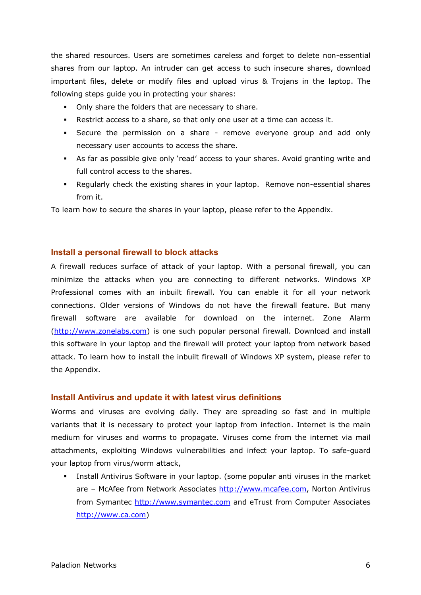the shared resources. Users are sometimes careless and forget to delete non-essential shares from our laptop. An intruder can get access to such insecure shares, download important files, delete or modify files and upload virus & Trojans in the laptop. The following steps guide you in protecting your shares:

- Only share the folders that are necessary to share.
- Restrict access to a share, so that only one user at a time can access it.
- Secure the permission on a share remove everyone group and add only necessary user accounts to access the share.
- As far as possible give only 'read' access to your shares. Avoid granting write and full control access to the shares.
- Regularly check the existing shares in your laptop. Remove non-essential shares from it.

To learn how to secure the shares in your laptop, please refer to the Appendix.

### **Install a personal firewall to block attacks**

A firewall reduces surface of attack of your laptop. With a personal firewall, you can minimize the attacks when you are connecting to different networks. Windows XP Professional comes with an inbuilt firewall. You can enable it for all your network connections. Older versions of Windows do not have the firewall feature. But many firewall software are available for download on the internet. Zone Alarm (http://www.zonelabs.com) is one such popular personal firewall. Download and install this software in your laptop and the firewall will protect your laptop from network based attack. To learn how to install the inbuilt firewall of Windows XP system, please refer to the Appendix.

### **Install Antivirus and update it with latest virus definitions**

Worms and viruses are evolving daily. They are spreading so fast and in multiple variants that it is necessary to protect your laptop from infection. Internet is the main medium for viruses and worms to propagate. Viruses come from the internet via mail attachments, exploiting Windows vulnerabilities and infect your laptop. To safe-guard your laptop from virus/worm attack,

 Install Antivirus Software in your laptop. (some popular anti viruses in the market are - McAfee from Network Associates http://www.mcafee.com, Norton Antivirus from Symantec http://www.symantec.com and eTrust from Computer Associates http://www.ca.com)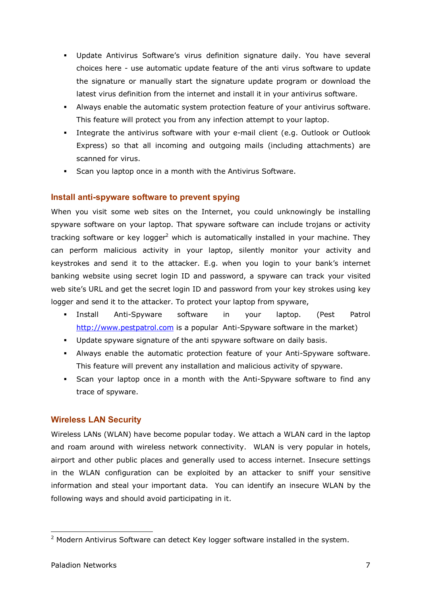- Update Antivirus Software's virus definition signature daily. You have several choices here - use automatic update feature of the anti virus software to update the signature or manually start the signature update program or download the latest virus definition from the internet and install it in your antivirus software.
- Always enable the automatic system protection feature of your antivirus software. This feature will protect you from any infection attempt to your laptop.
- Integrate the antivirus software with your e-mail client (e.g. Outlook or Outlook Express) so that all incoming and outgoing mails (including attachments) are scanned for virus.
- Scan you laptop once in a month with the Antivirus Software.

## **Install anti-spyware software to prevent spying**

When you visit some web sites on the Internet, you could unknowingly be installing spyware software on your laptop. That spyware software can include trojans or activity tracking software or key logger<sup>2</sup> which is automatically installed in your machine. They can perform malicious activity in your laptop, silently monitor your activity and keystrokes and send it to the attacker. E.g. when you login to your bank's internet banking website using secret login ID and password, a spyware can track your visited web site's URL and get the secret login ID and password from your key strokes using key logger and send it to the attacker. To protect your laptop from spyware,

- Install Anti-Spyware software in your laptop. (Pest Patrol http://www.pestpatrol.com is a popular Anti-Spyware software in the market)
- Update spyware signature of the anti spyware software on daily basis.
- Always enable the automatic protection feature of your Anti-Spyware software. This feature will prevent any installation and malicious activity of spyware.
- Scan your laptop once in a month with the Anti-Spyware software to find any trace of spyware.

## **Wireless LAN Security**

Wireless LANs (WLAN) have become popular today. We attach a WLAN card in the laptop and roam around with wireless network connectivity. WLAN is very popular in hotels, airport and other public places and generally used to access internet. Insecure settings in the WLAN configuration can be exploited by an attacker to sniff your sensitive information and steal your important data. You can identify an insecure WLAN by the following ways and should avoid participating in it.

 <sup>2</sup> Modern Antivirus Software can detect Key logger software installed in the system.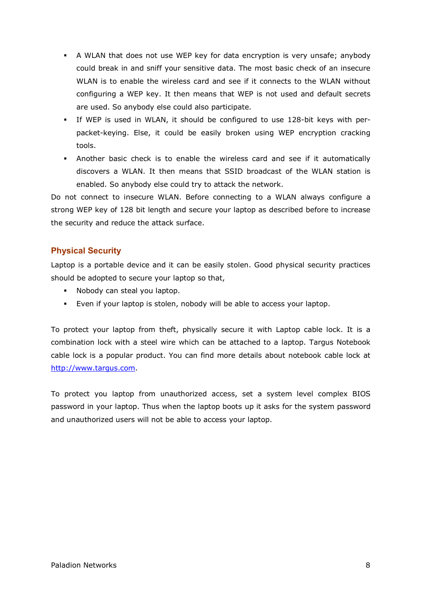- A WLAN that does not use WEP key for data encryption is very unsafe; anybody could break in and sniff your sensitive data. The most basic check of an insecure WLAN is to enable the wireless card and see if it connects to the WLAN without configuring a WEP key. It then means that WEP is not used and default secrets are used. So anybody else could also participate.
- If WEP is used in WLAN, it should be configured to use 128-bit keys with perpacket-keying. Else, it could be easily broken using WEP encryption cracking tools.
- Another basic check is to enable the wireless card and see if it automatically discovers a WLAN. It then means that SSID broadcast of the WLAN station is enabled. So anybody else could try to attack the network.

Do not connect to insecure WLAN. Before connecting to a WLAN always configure a strong WEP key of 128 bit length and secure your laptop as described before to increase the security and reduce the attack surface.

## **Physical Security**

Laptop is a portable device and it can be easily stolen. Good physical security practices should be adopted to secure your laptop so that,

- **Nobody can steal you laptop.**
- Even if your laptop is stolen, nobody will be able to access your laptop.

To protect your laptop from theft, physically secure it with Laptop cable lock. It is a combination lock with a steel wire which can be attached to a laptop. Targus Notebook cable lock is a popular product. You can find more details about notebook cable lock at http://www.targus.com.

To protect you laptop from unauthorized access, set a system level complex BIOS password in your laptop. Thus when the laptop boots up it asks for the system password and unauthorized users will not be able to access your laptop.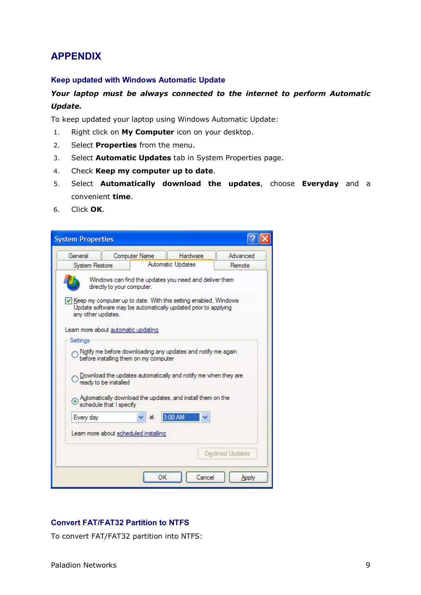# **APPENDIX**

### **Keep updated with Windows Automatic Update**

## *Your laptop must be always connected to the internet to perform Automatic Update.*

To keep updated your laptop using Windows Automatic Update:

- 1. Right click on **My Computer** icon on your desktop.
- 2. Select **Properties** from the menu.
- 3. Select **Automatic Updates** tab in System Properties page.
- 4. Check **Keep my computer up to date**.
- 5. Select **Automatically download the updates**, choose **Everyday** and a convenient **time**.
- 6. Click **OK**.

| <b>System Properties</b> |                                                                                                                                                                                                                             |    |          |        |                  |
|--------------------------|-----------------------------------------------------------------------------------------------------------------------------------------------------------------------------------------------------------------------------|----|----------|--------|------------------|
| General                  | <b>Computer Name</b>                                                                                                                                                                                                        |    | Hardware |        | Advanced         |
|                          | Automatic Updates<br>System Restore                                                                                                                                                                                         |    | Remote   |        |                  |
| any other updates.       | Windows can find the updates you need and deliver them<br>directly to your computer.<br>↓ Keep my computer up to date. With this setting enabled, Windows<br>Update software may be automatically updated prior to applying |    |          |        |                  |
| Settings                 | Leam more about automatic updating                                                                                                                                                                                          |    |          |        |                  |
|                          | Notify me before downloading any updates and notify me again<br>before installing them on my computer<br>Download the updates automatically and notify me when they are<br>ready to be installed                            |    |          |        |                  |
|                          | Automatically download the updates, and install them on the<br>schedule that I specify                                                                                                                                      |    |          |        |                  |
| Every day                |                                                                                                                                                                                                                             | at | 3:00 AM  |        |                  |
|                          | Leam more about scheduled installing                                                                                                                                                                                        |    |          |        |                  |
|                          |                                                                                                                                                                                                                             |    |          |        | Declined Updates |
|                          |                                                                                                                                                                                                                             | OK |          | Cancel | Apply            |

## **Convert FAT/FAT32 Partition to NTFS**

To convert FAT/FAT32 partition into NTFS: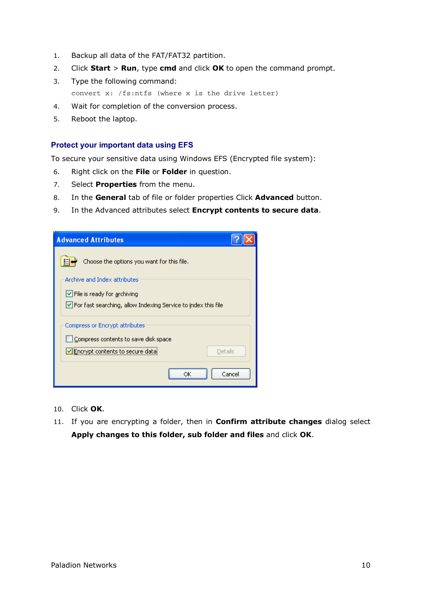- 1. Backup all data of the FAT/FAT32 partition.
- 2. Click **Start** > **Run**, type **cmd** and click **OK** to open the command prompt.
- 3. Type the following command: convert x: /fs:ntfs (where x is the drive letter)
- 4. Wait for completion of the conversion process.
- 5. Reboot the laptop.

### **Protect your important data using EFS**

To secure your sensitive data using Windows EFS (Encrypted file system):

- 6. Right click on the **File** or **Folder** in question.
- 7. Select **Properties** from the menu.
- 8. In the **General** tab of file or folder properties Click **Advanced** button.
- 9. In the Advanced attributes select **Encrypt contents to secure data**.

| <b>Advanced Attributes</b>                                                             |        |
|----------------------------------------------------------------------------------------|--------|
| Choose the options you want for this file.                                             |        |
| Archive and Index attributes                                                           |        |
| File is ready for archiving                                                            |        |
| $\vert \checkmark \vert$ For fast searching, allow Indexing Service to index this file |        |
| Compress or Encrypt attributes                                                         |        |
| Compress contents to save disk space                                                   |        |
| Encrypt contents to secure data<br>Details                                             |        |
| ОK                                                                                     | Cancel |

- 10. Click **OK**.
- 11. If you are encrypting a folder, then in **Confirm attribute changes** dialog select **Apply changes to this folder, sub folder and files** and click **OK**.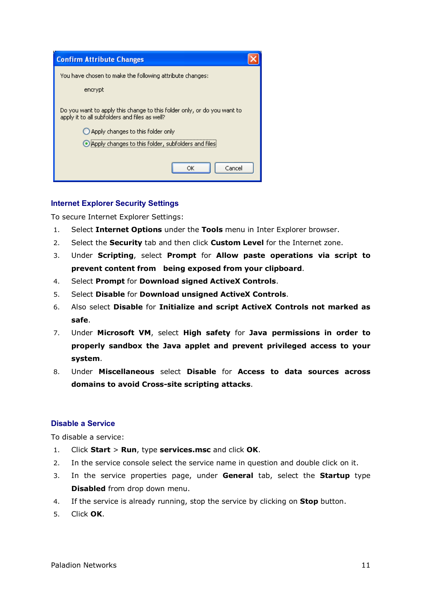| <b>Confirm Attribute Changes</b>                                                                                         |  |  |
|--------------------------------------------------------------------------------------------------------------------------|--|--|
| You have chosen to make the following attribute changes:                                                                 |  |  |
| encrypt                                                                                                                  |  |  |
| Do you want to apply this change to this folder only, or do you want to<br>apply it to all subfolders and files as well? |  |  |
| $\bigcirc$ Apply changes to this folder only                                                                             |  |  |
| O Apply changes to this folder, subfolders and files                                                                     |  |  |
| Cancel<br>ОK                                                                                                             |  |  |

### **Internet Explorer Security Settings**

To secure Internet Explorer Settings:

- 1. Select **Internet Options** under the **Tools** menu in Inter Explorer browser.
- 2. Select the **Security** tab and then click **Custom Level** for the Internet zone.
- 3. Under **Scripting**, select **Prompt** for **Allow paste operations via script to prevent content from being exposed from your clipboard**.
- 4. Select **Prompt** for **Download signed ActiveX Controls**.
- 5. Select **Disable** for **Download unsigned ActiveX Controls**.
- 6. Also select **Disable** for **Initialize and script ActiveX Controls not marked as safe**.
- 7. Under **Microsoft VM**, select **High safety** for **Java permissions in order to properly sandbox the Java applet and prevent privileged access to your system**.
- 8. Under **Miscellaneous** select **Disable** for **Access to data sources across domains to avoid Cross-site scripting attacks**.

## **Disable a Service**

To disable a service:

- 1. Click **Start** > **Run**, type **services.msc** and click **OK**.
- 2. In the service console select the service name in question and double click on it.
- 3. In the service properties page, under **General** tab, select the **Startup** type **Disabled** from drop down menu.
- 4. If the service is already running, stop the service by clicking on **Stop** button.
- 5. Click **OK**.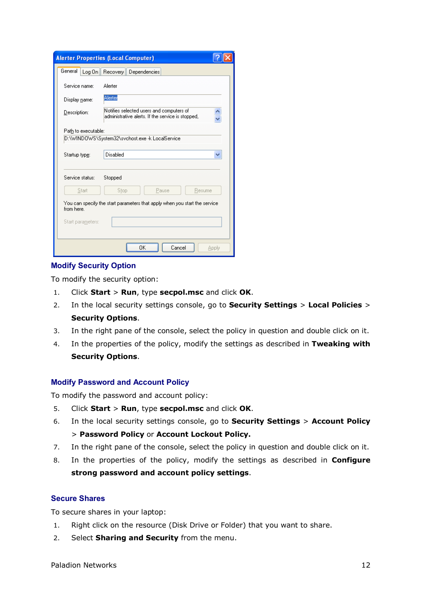|                                                                                           | <b>Alerter Properties (Local Computer)</b>                                                    |       |  |  |
|-------------------------------------------------------------------------------------------|-----------------------------------------------------------------------------------------------|-------|--|--|
| General<br>Log On                                                                         | Recovery Dependencies                                                                         |       |  |  |
| Service name:                                                                             | Alerter                                                                                       |       |  |  |
| Display name:                                                                             | Alerter                                                                                       |       |  |  |
| Description:                                                                              | Notifies selected users and computers of<br>administrative alerts. If the service is stopped, |       |  |  |
| Path to executable:                                                                       |                                                                                               |       |  |  |
|                                                                                           |                                                                                               |       |  |  |
| Startup type:                                                                             | Disabled                                                                                      |       |  |  |
| Service status:                                                                           | Stopped                                                                                       |       |  |  |
| Start                                                                                     | Stop<br>Pause<br>Resume                                                                       |       |  |  |
| You can specify the start parameters that apply when you start the service.<br>from here. |                                                                                               |       |  |  |
| Start parameters:                                                                         |                                                                                               |       |  |  |
|                                                                                           | ΩK<br>Cancel                                                                                  | Apply |  |  |

### **Modify Security Option**

To modify the security option:

- 1. Click **Start** > **Run**, type **secpol.msc** and click **OK**.
- 2. In the local security settings console, go to **Security Settings** > **Local Policies** > **Security Options**.
- 3. In the right pane of the console, select the policy in question and double click on it.
- 4. In the properties of the policy, modify the settings as described in **Tweaking with Security Options**.

### **Modify Password and Account Policy**

To modify the password and account policy:

- 5. Click **Start** > **Run**, type **secpol.msc** and click **OK**.
- 6. In the local security settings console, go to **Security Settings** > **Account Policy** > **Password Policy** or **Account Lockout Policy.**
- 7. In the right pane of the console, select the policy in question and double click on it.
- 8. In the properties of the policy, modify the settings as described in **Configure strong password and account policy settings**.

## **Secure Shares**

To secure shares in your laptop:

- 1. Right click on the resource (Disk Drive or Folder) that you want to share.
- 2. Select **Sharing and Security** from the menu.